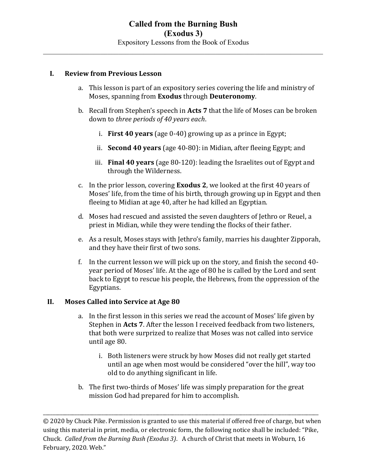## I. Review from Previous Lesson

- a. This lesson is part of an expository series covering the life and ministry of Moses, spanning from Exodus through Deuteronomy.
- b. Recall from Stephen's speech in Acts 7 that the life of Moses can be broken down to three periods of 40 years each.
	- i. First 40 years (age 0-40) growing up as a prince in Egypt;
	- ii. Second 40 years (age 40-80): in Midian, after fleeing Egypt; and
	- iii. Final 40 years (age 80-120): leading the Israelites out of Egypt and through the Wilderness.
- c. In the prior lesson, covering Exodus 2, we looked at the first 40 years of Moses' life, from the time of his birth, through growing up in Egypt and then fleeing to Midian at age 40, after he had killed an Egyptian.
- d. Moses had rescued and assisted the seven daughters of Jethro or Reuel, a priest in Midian, while they were tending the flocks of their father.
- e. As a result, Moses stays with Jethro's family, marries his daughter Zipporah, and they have their first of two sons.
- f. In the current lesson we will pick up on the story, and finish the second 40 year period of Moses' life. At the age of 80 he is called by the Lord and sent back to Egypt to rescue his people, the Hebrews, from the oppression of the Egyptians.

## II. Moses Called into Service at Age 80

- a. In the first lesson in this series we read the account of Moses' life given by Stephen in Acts 7. After the lesson I received feedback from two listeners, that both were surprized to realize that Moses was not called into service until age 80.
	- i. Both listeners were struck by how Moses did not really get started until an age when most would be considered "over the hill", way too old to do anything significant in life.
- b. The first two-thirds of Moses' life was simply preparation for the great mission God had prepared for him to accomplish.

\_\_\_\_\_\_\_\_\_\_\_\_\_\_\_\_\_\_\_\_\_\_\_\_\_\_\_\_\_\_\_\_\_\_\_\_\_\_\_\_\_\_\_\_\_\_\_\_\_\_\_\_\_\_\_\_\_\_\_\_\_\_\_\_\_\_\_\_\_\_\_\_\_\_\_\_\_\_\_\_\_\_\_\_\_\_\_\_\_\_\_\_\_\_\_\_\_\_\_\_\_\_\_\_\_\_\_\_\_\_\_\_\_

<sup>© 2020</sup> by Chuck Pike. Permission is granted to use this material if offered free of charge, but when using this material in print, media, or electronic form, the following notice shall be included: "Pike, Chuck. Called from the Burning Bush (Exodus 3). A church of Christ that meets in Woburn, 16 February, 2020. Web."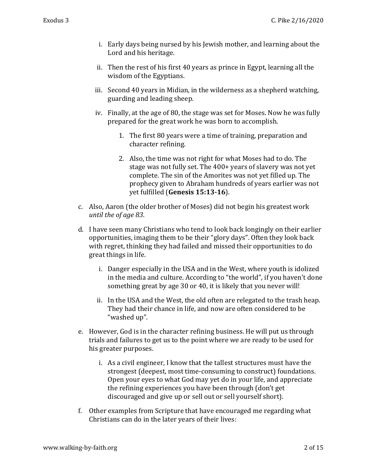- i. Early days being nursed by his Jewish mother, and learning about the Lord and his heritage.
- ii. Then the rest of his first 40 years as prince in Egypt, learning all the wisdom of the Egyptians.
- iii. Second 40 years in Midian, in the wilderness as a shepherd watching, guarding and leading sheep.
- iv. Finally, at the age of 80, the stage was set for Moses. Now he was fully prepared for the great work he was born to accomplish.
	- 1. The first 80 years were a time of training, preparation and character refining.
	- 2. Also, the time was not right for what Moses had to do. The stage was not fully set. The 400+ years of slavery was not yet complete. The sin of the Amorites was not yet filled up. The prophecy given to Abraham hundreds of years earlier was not yet fulfilled (Genesis 15:13-16).
- c. Also, Aaron (the older brother of Moses) did not begin his greatest work until the of age 83.
- d. I have seen many Christians who tend to look back longingly on their earlier opportunities, imaging them to be their "glory days". Often they look back with regret, thinking they had failed and missed their opportunities to do great things in life.
	- i. Danger especially in the USA and in the West, where youth is idolized in the media and culture. According to "the world", if you haven't done something great by age 30 or 40, it is likely that you never will!
	- ii. In the USA and the West, the old often are relegated to the trash heap. They had their chance in life, and now are often considered to be "washed up".
- e. However, God is in the character refining business. He will put us through trials and failures to get us to the point where we are ready to be used for his greater purposes.
	- i. As a civil engineer, I know that the tallest structures must have the strongest (deepest, most time-consuming to construct) foundations. Open your eyes to what God may yet do in your life, and appreciate the refining experiences you have been through (don't get discouraged and give up or sell out or sell yourself short).
- f. Other examples from Scripture that have encouraged me regarding what Christians can do in the later years of their lives: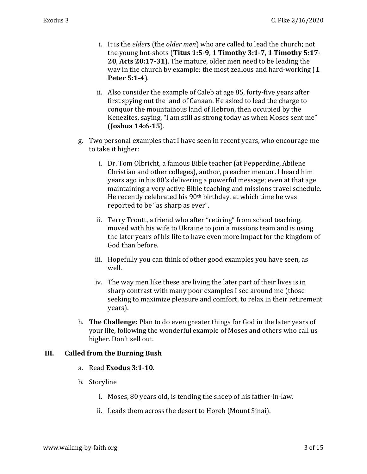- i. It is the elders (the older men) who are called to lead the church; not the young hot-shots (Titus 1:5-9, 1 Timothy 3:1-7, 1 Timothy 5:17- 20, Acts 20:17-31). The mature, older men need to be leading the way in the church by example: the most zealous and hard-working (1 Peter 5:1-4).
- ii. Also consider the example of Caleb at age 85, forty-five years after first spying out the land of Canaan. He asked to lead the charge to conquor the mountainous land of Hebron, then occupied by the Kenezites, saying, "I am still as strong today as when Moses sent me" (Joshua 14:6-15).
- g. Two personal examples that I have seen in recent years, who encourage me to take it higher:
	- i. Dr. Tom Olbricht, a famous Bible teacher (at Pepperdine, Abilene Christian and other colleges), author, preacher mentor. I heard him years ago in his 80's delivering a powerful message; even at that age maintaining a very active Bible teaching and missions travel schedule. He recently celebrated his 90<sup>th</sup> birthday, at which time he was reported to be "as sharp as ever".
	- ii. Terry Troutt, a friend who after "retiring" from school teaching, moved with his wife to Ukraine to join a missions team and is using the later years of his life to have even more impact for the kingdom of God than before.
	- iii. Hopefully you can think of other good examples you have seen, as well.
	- iv. The way men like these are living the later part of their lives is in sharp contrast with many poor examples I see around me (those seeking to maximize pleasure and comfort, to relax in their retirement years).
- h. **The Challenge:** Plan to do even greater things for God in the later years of your life, following the wonderful example of Moses and others who call us higher. Don't sell out.

## III. Called from the Burning Bush

- a. Read Exodus 3:1-10.
- b. Storyline
	- i. Moses, 80 years old, is tending the sheep of his father-in-law.
	- ii. Leads them across the desert to Horeb (Mount Sinai).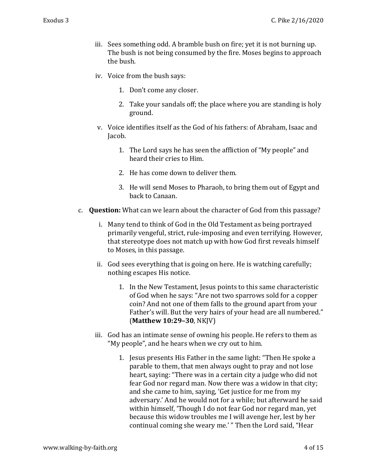- iii. Sees something odd. A bramble bush on fire; yet it is not burning up. The bush is not being consumed by the fire. Moses begins to approach the bush.
- iv. Voice from the bush says:
	- 1. Don't come any closer.
	- 2. Take your sandals off; the place where you are standing is holy ground.
- v. Voice identifies itself as the God of his fathers: of Abraham, Isaac and Jacob.
	- 1. The Lord says he has seen the affliction of "My people" and heard their cries to Him.
	- 2. He has come down to deliver them.
	- 3. He will send Moses to Pharaoh, to bring them out of Egypt and back to Canaan.
- c. Question: What can we learn about the character of God from this passage?
	- i. Many tend to think of God in the Old Testament as being portrayed primarily vengeful, strict, rule-imposing and even terrifying. However, that stereotype does not match up with how God first reveals himself to Moses, in this passage.
	- ii. God sees everything that is going on here. He is watching carefully; nothing escapes His notice.
		- 1. In the New Testament, Jesus points to this same characteristic of God when he says: "Are not two sparrows sold for a copper coin? And not one of them falls to the ground apart from your Father's will. But the very hairs of your head are all numbered." (Matthew 10:29–30, NKJV)
	- iii. God has an intimate sense of owning his people. He refers to them as "My people", and he hears when we cry out to him.
		- 1. Jesus presents His Father in the same light: "Then He spoke a parable to them, that men always ought to pray and not lose heart, saying: "There was in a certain city a judge who did not fear God nor regard man. Now there was a widow in that city; and she came to him, saying, 'Get justice for me from my adversary.' And he would not for a while; but afterward he said within himself, 'Though I do not fear God nor regard man, yet because this widow troubles me I will avenge her, lest by her continual coming she weary me.' " Then the Lord said, "Hear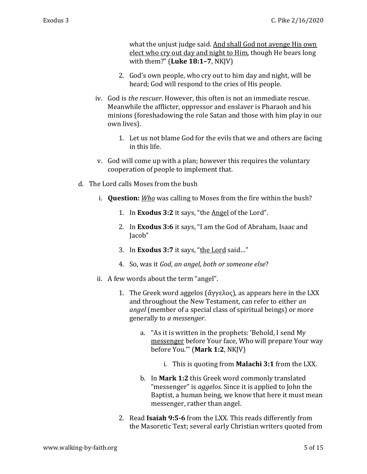what the unjust judge said. And shall God not avenge His own elect who cry out day and night to Him, though He bears long with them?" (Luke  $18:1-7$ , NKJV)

- 2. God's own people, who cry out to him day and night, will be heard; God will respond to the cries of His people.
- iv. God is the rescuer. However, this often is not an immediate rescue. Meanwhile the afflicter, oppressor and enslaver is Pharaoh and his minions (foreshadowing the role Satan and those with him play in our own lives).
	- 1. Let us not blame God for the evils that we and others are facing in this life.
- v. God will come up with a plan; however this requires the voluntary cooperation of people to implement that.
- d. The Lord calls Moses from the bush
	- i. Question: Who was calling to Moses from the fire within the bush?
		- 1. In Exodus 3:2 it says, "the Angel of the Lord".
		- 2. In Exodus 3:6 it says, "I am the God of Abraham, Isaac and Jacob"
		- 3. In Exodus 3:7 it says, "the Lord said..."
		- 4. So, was it God, an angel, both or someone else?
	- ii. A few words about the term "angel".
		- 1. The Greek word aggelos (ἄγγελος), as appears here in the LXX and throughout the New Testament, can refer to either an angel (member of a special class of spiritual beings) or more generally to a messenger.
			- a. "As it is written in the prophets: 'Behold, I send My messenger before Your face, Who will prepare Your way before You.'" (Mark 1:2, NKJV)
				- i. This is quoting from **Malachi 3:1** from the LXX.
			- b. In Mark 1:2 this Greek word commonly translated "messenger" is *aggelos*. Since it is applied to John the Baptist, a human being, we know that here it must mean messenger, rather than angel.
		- 2. Read Isaiah 9:5-6 from the LXX. This reads differently from the Masoretic Text; several early Christian writers quoted from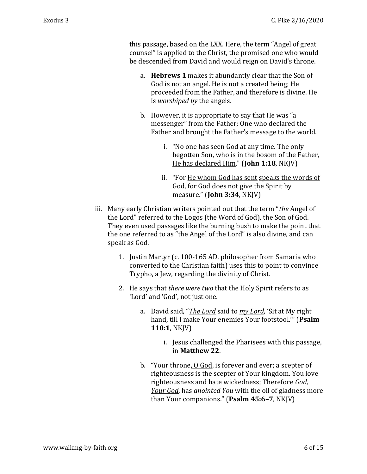this passage, based on the LXX. Here, the term "Angel of great counsel" is applied to the Christ, the promised one who would be descended from David and would reign on David's throne.

- a. Hebrews 1 makes it abundantly clear that the Son of God is not an angel. He is not a created being; He proceeded from the Father, and therefore is divine. He is worshiped by the angels.
- b. However, it is appropriate to say that He was "a messenger" from the Father; One who declared the Father and brought the Father's message to the world.
	- i. "No one has seen God at any time. The only begotten Son, who is in the bosom of the Father, He has declared Him." (John 1:18, NKJV)
	- ii. "For He whom God has sent speaks the words of God, for God does not give the Spirit by measure." (John 3:34, NKJV)
- iii. Many early Christian writers pointed out that the term "the Angel of the Lord" referred to the Logos (the Word of God), the Son of God. They even used passages like the burning bush to make the point that the one referred to as "the Angel of the Lord" is also divine, and can speak as God.
	- 1. Justin Martyr (c. 100-165 AD, philosopher from Samaria who converted to the Christian faith) uses this to point to convince Trypho, a Jew, regarding the divinity of Christ.
	- 2. He says that there were two that the Holy Spirit refers to as 'Lord' and 'God', not just one.
		- a. David said, "The Lord said to my Lord, 'Sit at My right hand, till I make Your enemies Your footstool.'" (Psalm 110:1, NKJV)
			- i. Jesus challenged the Pharisees with this passage, in Matthew 22.
		- b. "Your throne, O God, is forever and ever; a scepter of righteousness is the scepter of Your kingdom. You love righteousness and hate wickedness; Therefore God, Your God, has anointed You with the oil of gladness more than Your companions." (Psalm 45:6–7, NKJV)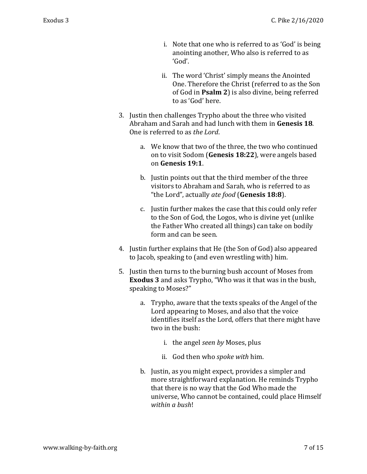- i. Note that one who is referred to as 'God' is being anointing another, Who also is referred to as 'God'.
- ii. The word 'Christ' simply means the Anointed One. Therefore the Christ (referred to as the Son of God in Psalm 2) is also divine, being referred to as 'God' here.
- 3. Justin then challenges Trypho about the three who visited Abraham and Sarah and had lunch with them in Genesis 18. One is referred to as the Lord.
	- a. We know that two of the three, the two who continued on to visit Sodom (Genesis 18:22), were angels based on Genesis 19:1.
	- b. Justin points out that the third member of the three visitors to Abraham and Sarah, who is referred to as "the Lord", actually ate food (Genesis 18:8).
	- c. Justin further makes the case that this could only refer to the Son of God, the Logos, who is divine yet (unlike the Father Who created all things) can take on bodily form and can be seen.
- 4. Justin further explains that He (the Son of God) also appeared to Jacob, speaking to (and even wrestling with) him.
- 5. Justin then turns to the burning bush account of Moses from Exodus 3 and asks Trypho, "Who was it that was in the bush, speaking to Moses?"
	- a. Trypho, aware that the texts speaks of the Angel of the Lord appearing to Moses, and also that the voice identifies itself as the Lord, offers that there might have two in the bush:
		- i. the angel seen by Moses, plus
		- ii. God then who spoke with him.
	- b. Justin, as you might expect, provides a simpler and more straightforward explanation. He reminds Trypho that there is no way that the God Who made the universe, Who cannot be contained, could place Himself within a hush!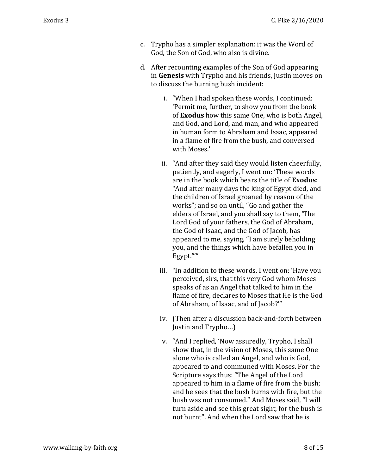- c. Trypho has a simpler explanation: it was the Word of God, the Son of God, who also is divine.
- d. After recounting examples of the Son of God appearing in Genesis with Trypho and his friends, Justin moves on to discuss the burning bush incident:
	- i. "When I had spoken these words, I continued: 'Permit me, further, to show you from the book of Exodus how this same One, who is both Angel, and God, and Lord, and man, and who appeared in human form to Abraham and Isaac, appeared in a flame of fire from the bush, and conversed with Moses.'
	- ii. "And after they said they would listen cheerfully, patiently, and eagerly, I went on: 'These words are in the book which bears the title of Exodus: "And after many days the king of Egypt died, and the children of Israel groaned by reason of the works"; and so on until, "Go and gather the elders of Israel, and you shall say to them, 'The Lord God of your fathers, the God of Abraham, the God of Isaac, and the God of Jacob, has appeared to me, saying, "I am surely beholding you, and the things which have befallen you in Egypt."'"
	- iii. "In addition to these words, I went on: 'Have you perceived, sirs, that this very God whom Moses speaks of as an Angel that talked to him in the flame of fire, declares to Moses that He is the God of Abraham, of Isaac, and of Jacob?'"
	- iv. (Then after a discussion back-and-forth between Justin and Trypho…)
	- v. "And I replied, 'Now assuredly, Trypho, I shall show that, in the vision of Moses, this same One alone who is called an Angel, and who is God, appeared to and communed with Moses. For the Scripture says thus: "The Angel of the Lord appeared to him in a flame of fire from the bush; and he sees that the bush burns with fire, but the bush was not consumed." And Moses said, "I will turn aside and see this great sight, for the bush is not burnt". And when the Lord saw that he is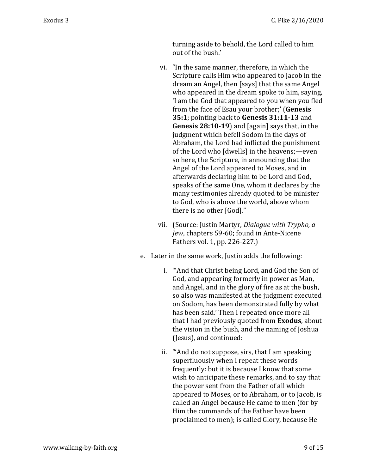turning aside to behold, the Lord called to him out of the bush.'

- vi. "In the same manner, therefore, in which the Scripture calls Him who appeared to Jacob in the dream an Angel, then [says] that the same Angel who appeared in the dream spoke to him, saying, 'I am the God that appeared to you when you fled from the face of Esau your brother;' (Genesis 35:1; pointing back to Genesis 31:11-13 and Genesis 28:10-19) and [again] says that, in the judgment which befell Sodom in the days of Abraham, the Lord had inflicted the punishment of the Lord who [dwells] in the heavens;—even so here, the Scripture, in announcing that the Angel of the Lord appeared to Moses, and in afterwards declaring him to be Lord and God, speaks of the same One, whom it declares by the many testimonies already quoted to be minister to God, who is above the world, above whom there is no other [God]."
- vii. (Source: Justin Martyr, Dialogue with Trypho, a Jew, chapters 59-60; found in Ante-Nicene Fathers vol. 1, pp. 226-227.)
- e. Later in the same work, Justin adds the following:
	- i. "'And that Christ being Lord, and God the Son of God, and appearing formerly in power as Man, and Angel, and in the glory of fire as at the bush, so also was manifested at the judgment executed on Sodom, has been demonstrated fully by what has been said.' Then I repeated once more all that I had previously quoted from Exodus, about the vision in the bush, and the naming of Joshua (Jesus), and continued:
	- ii. "'And do not suppose, sirs, that I am speaking superfluously when I repeat these words frequently: but it is because I know that some wish to anticipate these remarks, and to say that the power sent from the Father of all which appeared to Moses, or to Abraham, or to Jacob, is called an Angel because He came to men (for by Him the commands of the Father have been proclaimed to men); is called Glory, because He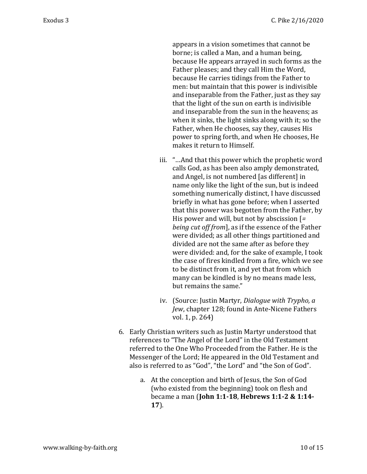appears in a vision sometimes that cannot be borne; is called a Man, and a human being, because He appears arrayed in such forms as the Father pleases; and they call Him the Word, because He carries tidings from the Father to men: but maintain that this power is indivisible and inseparable from the Father, just as they say that the light of the sun on earth is indivisible and inseparable from the sun in the heavens; as when it sinks, the light sinks along with it; so the Father, when He chooses, say they, causes His power to spring forth, and when He chooses, He makes it return to Himself.

- iii. "…And that this power which the prophetic word calls God, as has been also amply demonstrated, and Angel, is not numbered [as different] in name only like the light of the sun, but is indeed something numerically distinct, I have discussed briefly in what has gone before; when I asserted that this power was begotten from the Father, by His power and will, but not by abscission  $F$ being cut off from], as if the essence of the Father were divided; as all other things partitioned and divided are not the same after as before they were divided: and, for the sake of example, I took the case of fires kindled from a fire, which we see to be distinct from it, and yet that from which many can be kindled is by no means made less, but remains the same."
- iv. (Source: Justin Martyr, Dialogue with Trypho, a Jew, chapter 128; found in Ante-Nicene Fathers vol. 1, p. 264)
- 6. Early Christian writers such as Justin Martyr understood that references to "The Angel of the Lord" in the Old Testament referred to the One Who Proceeded from the Father. He is the Messenger of the Lord; He appeared in the Old Testament and also is referred to as "God", "the Lord" and "the Son of God".
	- a. At the conception and birth of Jesus, the Son of God (who existed from the beginning) took on flesh and became a man (John 1:1-18, Hebrews 1:1-2 & 1:14- 17).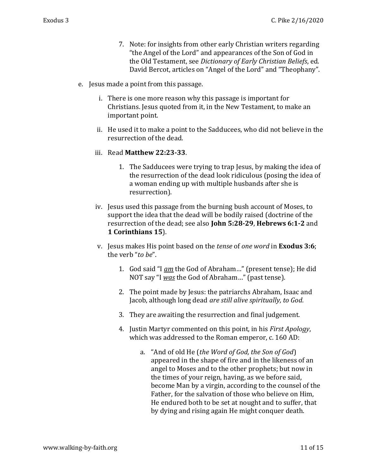- 7. Note: for insights from other early Christian writers regarding "the Angel of the Lord" and appearances of the Son of God in the Old Testament, see Dictionary of Early Christian Beliefs, ed. David Bercot, articles on "Angel of the Lord" and "Theophany".
- e. Jesus made a point from this passage.
	- i. There is one more reason why this passage is important for Christians. Jesus quoted from it, in the New Testament, to make an important point.
	- ii. He used it to make a point to the Sadducees, who did not believe in the resurrection of the dead.
	- iii. Read Matthew 22:23-33.
		- 1. The Sadducees were trying to trap Jesus, by making the idea of the resurrection of the dead look ridiculous (posing the idea of a woman ending up with multiple husbands after she is resurrection).
	- iv. Jesus used this passage from the burning bush account of Moses, to support the idea that the dead will be bodily raised (doctrine of the resurrection of the dead; see also John 5:28-29, Hebrews 6:1-2 and 1 Corinthians 15).
	- v. Jesus makes His point based on the tense of one word in Exodus 3:6; the verb "to be".
		- 1. God said "I am the God of Abraham..." (present tense); He did NOT say "I was the God of Abraham..." (past tense).
		- 2. The point made by Jesus: the patriarchs Abraham, Isaac and Jacob, although long dead are still alive spiritually, to God.
		- 3. They are awaiting the resurrection and final judgement.
		- 4. Justin Martyr commented on this point, in his First Apology, which was addressed to the Roman emperor, c. 160 AD:
			- a. "And of old He (the Word of God, the Son of God) appeared in the shape of fire and in the likeness of an angel to Moses and to the other prophets; but now in the times of your reign, having, as we before said, become Man by a virgin, according to the counsel of the Father, for the salvation of those who believe on Him, He endured both to be set at nought and to suffer, that by dying and rising again He might conquer death.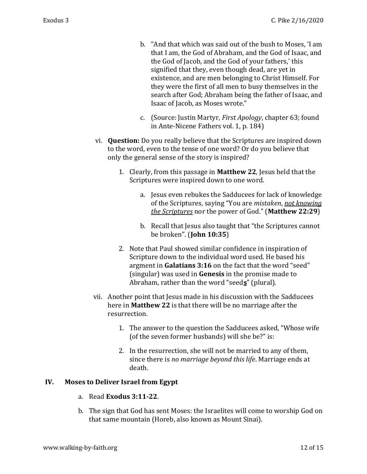- b. "And that which was said out of the bush to Moses, 'I am that I am, the God of Abraham, and the God of Isaac, and the God of Jacob, and the God of your fathers,' this signified that they, even though dead, are yet in existence, and are men belonging to Christ Himself. For they were the first of all men to busy themselves in the search after God; Abraham being the father of Isaac, and Isaac of Jacob, as Moses wrote."
- c. (Source: Justin Martyr, First Apology, chapter 63; found in Ante-Nicene Fathers vol. 1, p. 184)
- vi. Question: Do you really believe that the Scriptures are inspired down to the word, even to the tense of one word? Or do you believe that only the general sense of the story is inspired?
	- 1. Clearly, from this passage in Matthew 22, Jesus held that the Scriptures were inspired down to one word.
		- a. Jesus even rebukes the Sadducees for lack of knowledge of the Scriptures, saying "You are *mistaken*, not knowing the Scriptures nor the power of God." (Matthew 22:29)
		- b. Recall that Jesus also taught that "the Scriptures cannot be broken". (John 10:35)
	- 2. Note that Paul showed similar confidence in inspiration of Scripture down to the individual word used. He based his argment in Galatians 3:16 on the fact that the word "seed" (singular) was used in **Genesis** in the promise made to Abraham, rather than the word "seed $s$ " (plural).
- vii. Another point that Jesus made in his discussion with the Sadducees here in Matthew 22 is that there will be no marriage after the resurrection.
	- 1. The answer to the question the Sadducees asked, "Whose wife (of the seven former husbands) will she be?" is:
	- 2. In the resurrection, she will not be married to any of them, since there is no marriage beyond this life. Marriage ends at death.

## IV. Moses to Deliver Israel from Egypt

- a. Read Exodus 3:11-22.
- b. The sign that God has sent Moses: the Israelites will come to worship God on that same mountain (Horeb, also known as Mount Sinai).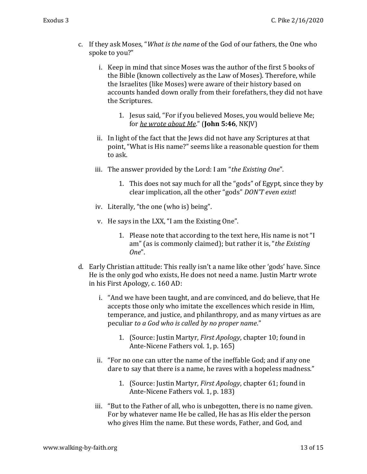- c. If they ask Moses, "What is the name of the God of our fathers, the One who spoke to you?"
	- i. Keep in mind that since Moses was the author of the first 5 books of the Bible (known collectively as the Law of Moses). Therefore, while the Israelites (like Moses) were aware of their history based on accounts handed down orally from their forefathers, they did not have the Scriptures.
		- 1. Jesus said, "For if you believed Moses, you would believe Me; for he wrote about Me." (John 5:46, NKJV)
	- ii. In light of the fact that the Jews did not have any Scriptures at that point, "What is His name?" seems like a reasonable question for them to ask.
	- iii. The answer provided by the Lord: I am "the Existing One".
		- 1. This does not say much for all the "gods" of Egypt, since they by clear implication, all the other "gods" DON'T even exist!
	- iv. Literally, "the one (who is) being".
	- v. He says in the LXX, "I am the Existing One".
		- 1. Please note that according to the text here, His name is not "I am" (as is commonly claimed); but rather it is, "the Existing  $One''$ .
- d. Early Christian attitude: This really isn't a name like other 'gods' have. Since He is the only god who exists, He does not need a name. Justin Martr wrote in his First Apology, c. 160 AD:
	- i. "And we have been taught, and are convinced, and do believe, that He accepts those only who imitate the excellences which reside in Him, temperance, and justice, and philanthropy, and as many virtues as are peculiar to a God who is called by no proper name."
		- 1. (Source: Justin Martyr, First Apology, chapter 10; found in Ante-Nicene Fathers vol. 1, p. 165)
	- ii. "For no one can utter the name of the ineffable God; and if any one dare to say that there is a name, he raves with a hopeless madness."
		- 1. (Source: Justin Martyr, First Apology, chapter 61; found in Ante-Nicene Fathers vol. 1, p. 183)
	- iii. "But to the Father of all, who is unbegotten, there is no name given. For by whatever name He be called, He has as His elder the person who gives Him the name. But these words, Father, and God, and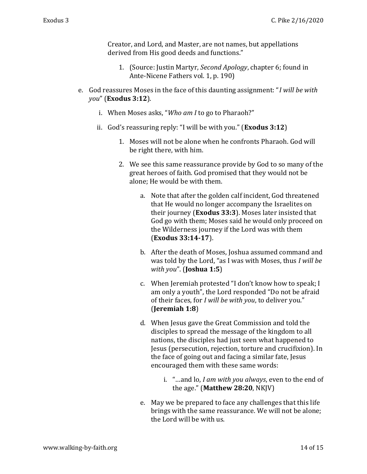Creator, and Lord, and Master, are not names, but appellations derived from His good deeds and functions."

- 1. (Source: Justin Martyr, Second Apology, chapter 6; found in Ante-Nicene Fathers vol. 1, p. 190)
- e. God reassures Moses in the face of this daunting assignment: "I will be with you" (Exodus 3:12).
	- i. When Moses asks, "Who am I to go to Pharaoh?"
	- ii. God's reassuring reply: "I will be with you." (**Exodus 3:12**)
		- 1. Moses will not be alone when he confronts Pharaoh. God will be right there, with him.
		- 2. We see this same reassurance provide by God to so many of the great heroes of faith. God promised that they would not be alone; He would be with them.
			- a. Note that after the golden calf incident, God threatened that He would no longer accompany the Israelites on their journey (Exodus 33:3). Moses later insisted that God go with them; Moses said he would only proceed on the Wilderness journey if the Lord was with them (Exodus 33:14-17).
			- b. After the death of Moses, Joshua assumed command and was told by the Lord, "as I was with Moses, thus I will be with you". (**Joshua 1:5**)
			- c. When Jeremiah protested "I don't know how to speak; I am only a youth", the Lord responded "Do not be afraid of their faces, for I will be with you, to deliver you." (Jeremiah 1:8)
			- d. When Jesus gave the Great Commission and told the disciples to spread the message of the kingdom to all nations, the disciples had just seen what happened to Jesus (persecution, rejection, torture and crucifixion). In the face of going out and facing a similar fate, Jesus encouraged them with these same words:
				- i. "…and lo, I am with you always, even to the end of the age." (Matthew 28:20, NKJV)
			- e. May we be prepared to face any challenges that this life brings with the same reassurance. We will not be alone; the Lord will be with us.